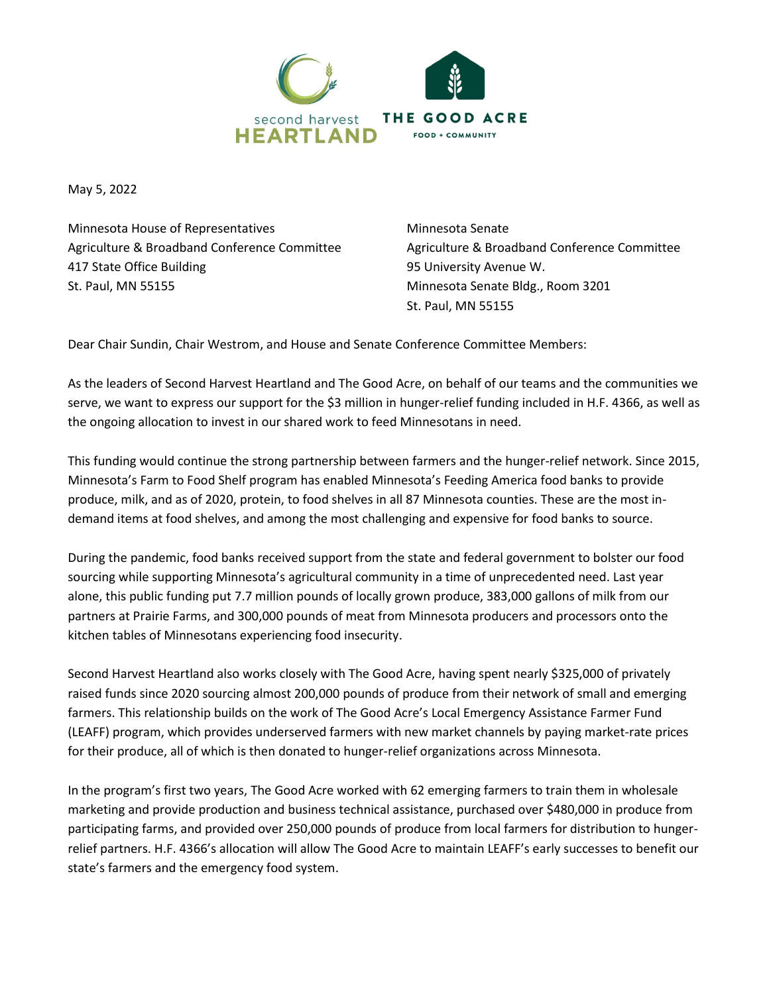

May 5, 2022

Minnesota House of Representatives Agriculture & Broadband Conference Committee 417 State Office Building St. Paul, MN 55155

Minnesota Senate Agriculture & Broadband Conference Committee 95 University Avenue W. Minnesota Senate Bldg., Room 3201 St. Paul, MN 55155

Dear Chair Sundin, Chair Westrom, and House and Senate Conference Committee Members:

As the leaders of Second Harvest Heartland and The Good Acre, on behalf of our teams and the communities we serve, we want to express our support for the \$3 million in hunger-relief funding included in H.F. 4366, as well as the ongoing allocation to invest in our shared work to feed Minnesotans in need.

This funding would continue the strong partnership between farmers and the hunger-relief network. Since 2015, Minnesota's Farm to Food Shelf program has enabled Minnesota's Feeding America food banks to provide produce, milk, and as of 2020, protein, to food shelves in all 87 Minnesota counties. These are the most indemand items at food shelves, and among the most challenging and expensive for food banks to source.

During the pandemic, food banks received support from the state and federal government to bolster our food sourcing while supporting Minnesota's agricultural community in a time of unprecedented need. Last year alone, this public funding put 7.7 million pounds of locally grown produce, 383,000 gallons of milk from our partners at Prairie Farms, and 300,000 pounds of meat from Minnesota producers and processors onto the kitchen tables of Minnesotans experiencing food insecurity.

Second Harvest Heartland also works closely with The Good Acre, having spent nearly \$325,000 of privately raised funds since 2020 sourcing almost 200,000 pounds of produce from their network of small and emerging farmers. This relationship builds on the work of The Good Acre's Local Emergency Assistance Farmer Fund (LEAFF) program, which provides underserved farmers with new market channels by paying market-rate prices for their produce, all of which is then donated to hunger-relief organizations across Minnesota.

In the program's first two years, The Good Acre worked with 62 emerging farmers to train them in wholesale marketing and provide production and business technical assistance, purchased over \$480,000 in produce from participating farms, and provided over 250,000 pounds of produce from local farmers for distribution to hungerrelief partners. H.F. 4366's allocation will allow The Good Acre to maintain LEAFF's early successes to benefit our state's farmers and the emergency food system.